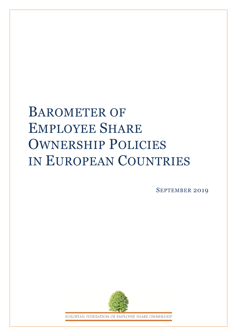# BAROMETER OF EMPLOYEE SHARE OWNERSHIP POLICIES IN EUROPEAN COUNTRIES

SEPTEMBER 2019



EUROPEAN FEDERATION OF EMPLOYEE SHARE OWNERSHIP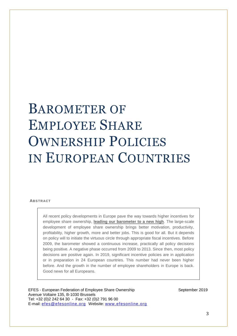## BAROMETER OF EMPLOYEE SHARE OWNERSHIP POLICIES IN EUROPEAN COUNTRIES

**ABSTR ACT**

All recent policy developments in Europe pave the way towards higher incentives for employee share ownership, **leading our barometer to a new high**. The large-scale development of employee share ownership brings better motivation, productivity, profitability, higher growth, more and better jobs. This is good for all. But it depends on policy will to initiate the virtuous circle through appropriate fiscal incentives. Before 2009, the barometer showed a continuous increase, practically all policy decisions being positive. A negative phase occurred from 2009 to 2013. Since then, most policy decisions are positive again. In 2019, significant incentive policies are in application or in preparation in 24 European countries. This number had never been higher before. And the growth in the number of employee shareholders in Europe is back. Good news for all Europeans.

EFES - European Federation of Employee Share Ownership September 2019 Avenue Voltaire 135, B-1030 Brussels Tel: +32 (0)2 242 64 30 - Fax: +32 (0)2 791 96 00 E-mail: [efes@efesonline.org](mailto:efes@efesonline.org) Website: [www.efesonline.org](http://www.efesonline.org/)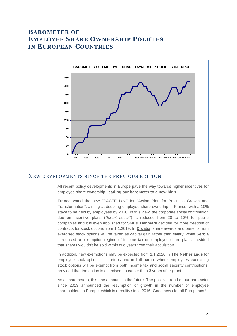## **BAROMETER OF EMPLOYEE SHARE OWNERSHIP POLICIES IN EUROPEAN COUNTRIES**



#### NEW DEVELOPMENTS SINCE THE PREVIOUS EDITION

All recent policy developments in Europe pave the way towards higher incentives for employee share ownership, **leading our barometer to a new high**.

**France** voted the new "PACTE Law" for "Action Plan for Business Growth and Transformation", aiming at doubling employee share ownerhip in France, with a 10% stake to be held by employees by 2030. In this view, the corporate social contribution due on incentive plans ("*forfait social*") is reduced from 20 to 10% for public companies and it is even abolished for SMEs. **Denmark** decided for more freedom of contracts for stock options from 1.1.2019. In **Croatia**, share awards and benefits from exercised stock options will be taxed as capital gain rather than salary, while **Serbia** introduced an exemption regime of income tax on employee share plans provided that shares wouldn't be sold within two years from their acquisition.

In addition, new exemptions may be expected from 1.1.2020 in **The Netherlands** for employee sock options in startups and in **Lithuania**, where employees exercising stock options will be exempt from both income tax and social security contributions, provided that the option is exercised no earlier than 3 years after grant.

As all barometers, this one announces the future. The positive trend of our barometer since 2013 announced the resumption of growth in the number of employee shareholders in Europe, which is a reality since 2016. Good news for all Europeans !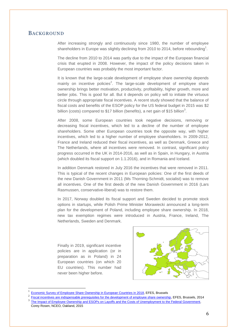### **BACKGROUND**

After increasing strongly and continuously since 1980, the number of employee shareholders in Europe was slightly declining from 2010 to 2014, before rebounding<sup>1</sup>.

The decline from 2010 to 2014 was partly due to the impact of the European financial crisis that erupted in 2008. However, the impact of the policy decisions taken in European countries was probably the most important factor.

It is known that the large-scale development of employee share ownership depends mainly on incentive policies<sup>2</sup>. The large-scale development of employee share ownership brings better motivation, productivity, profitability, higher growth, more and better jobs. This is good for all. But it depends on policy will to initiate the virtuous circle through appropriate fiscal incentives. A recent study showed that the balance of fiscal costs and benefits of the ESOP policy for the US federal budget in 2015 was \$2 billion (costs) compared to \$17 billion (benefits), a net gain of \$15 billion<sup>3</sup>.

After 2008, some European countries took negative decisions, removing or decreasing fiscal incentives, which led to a decline of the number of employee shareholders. Some other European countries took the opposite way, with higher incentives, which led to a higher number of employee shareholders. In 2009-2012, France and Ireland reduced their fiscal incentives, as well as Denmark, Greece and The Netherlands, where all incentives were removed. In contrast, significant policy progress occurred in the UK in 2014-2016, as well as in Spain, in Hungary, in Austria (which doubled its fiscal support on 1.1.2016), and in Romania and Iceland.

In addition Denmark restored in July 2016 the incentives that were removed in 2011. This is typical of the recent changes in European policies: One of the first deeds of the new Danish Government in 2011 (Ms Thorning-Schmidt, socialist) was to remove all incentives. One of the first deeds of the new Danish Government in 2016 (Lars Rasmussen, conservative-liberal) was to restore them.

In 2017, Norway doubled its fiscal support and Sweden decided to promote stock options in startups, while Polish Prime Minister Morawiecki announced a long-term plan for the development of Poland, including employee share ownership. In 2018, new tax exemption regimes were introduced in Austria, France, Ireland, The Netherlands, Sweden and Denmark.

Finally in 2019, significant incentive policies are in application (or in preparation as in Poland) in 24 European countries (on which 20 EU countries). This number had never been higher before.



<sup>1</sup> [Economic Survey of Employee Share Ownership in European Countries in 2018,](http://www.efesonline.org/Annual%20Economic%20Survey/Presentation.htm) EFES, Brussels

 $\overline{a}$ 

<sup>2</sup> [Fiscal incentives are indispensable prerequisites for the development of employee share ownership,](http://www.efesonline.org/INDISPENSABLE/Fiscal%20incentives%20are%20a%20prerequisite.pdf) EFES, Brussels, 2014

<sup>3</sup> [The Impact of Employee Ownership and ESOPs on Layoffs and the Costs of Unemployment to the Federal Government,](http://www.nceo.org/observations-employee-ownership/c/impact-employee-ownership-esops-layoffs-costs-unemployment-federal-government)

Corey Rosen, NCEO, Oakland, 2015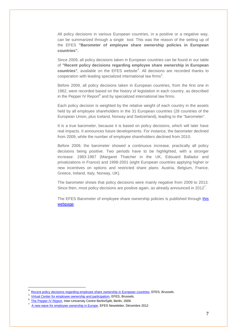All policy decisions in various European countries, in a positive or a negative way, can be summarized through a single tool. This was the reason of the setting up of the EFES **"Barometer of employee share ownership policies in European countries".** 

Since 2009, all policy decisions taken in European countries can be found in our table of **"Recent policy decisions regarding employee share ownership in European**  countries", available on the EFES website<sup>4</sup>. All decisions are recorded thanks to cooperation with leading specialized international law firms $5$ .

Before 2009, all policy decisions taken in European countries, from the first one in 1962, were recorded based on the history of legislation in each country, as described in the Pepper IV Report<sup>6</sup> and by specialized international law firms.

Each policy decision is weighted by the relative weight of each country in the assets held by all employee shareholders in the 31 European countries (28 countries of the European Union, plus Iceland, Norway and Switzerland), leading to the "barometer".

It is a true barometer, because it is based on policy decisions, which will later have real impacts. It announces future developments. For instance, the barometer declined from 2009, while the number of employee shareholders declined from 2010.

Before 2009, the barometer showed a continuous increase, practically all policy decisions being positive. Two periods have to be highlighted, with a stronger increase: 1983-1987 (Margaret Thatcher in the UK, Edouard Balladur and privatizations in France) and 1998-2001 (eight European countries applying higher or new incentives on options and restricted share plans: Austria, Belgium, France, Greece, Ireland, Italy, Norway, UK).

The barometer shows that policy decisions were mainly negative from 2009 to 2013. Since then, most policy decisions are positive again, as already announced in  $2012^7$ .

The EFES Barometer of employee share ownership policies is published through [this](http://www.efesonline.org/BAROMETER/EN.htm)  [webpage.](http://www.efesonline.org/BAROMETER/EN.htm)

 $\overline{a}$ 

<sup>4</sup> [Recent policy decisions regarding employee share ownership in European countries,](http://www.efesonline.org/INDISPENSABLE/RECENT%20POLICY%20DECISIONS%20REGARDING%20EMPLOYEE%20SHARE%20OWNERSHIP%20IN%20EUROPEAN%20COUNTRIES.pdf) EFES, Brussels.

<sup>5</sup> [Virtual Center for employee ownership and participation,](http://www.efesonline.org/Virtual%20Center.htm) EFES, Brussels.

<sup>6</sup> [The Pepper IV Report,](http://www.intercentar.de/fileadmin/files/PEPPER_IV/PEPPER_IV_Web.pdf) Inter-University Centre Berlin/Split, Berlin, 2009.

<sup>7</sup> [A new wave for employee ownership in Europe,](http://www.efesonline.org/EFES%20NEWS/2012/EFES%20NEWSLETTER%20-%2012-2012%20EN.htm) EFES Newsletter, Décembre 2012